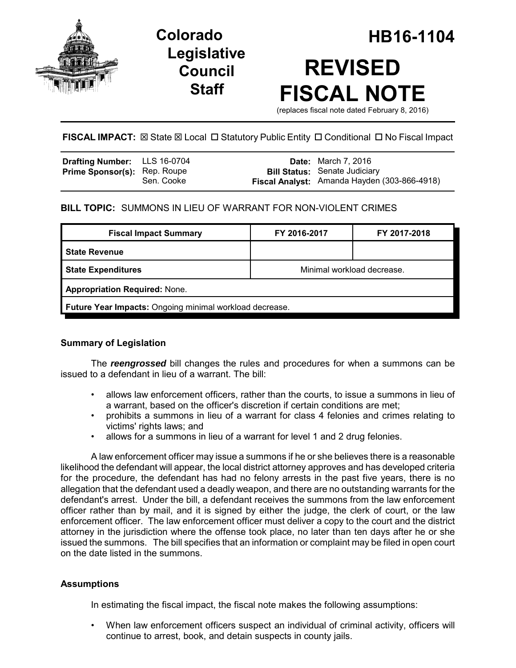

## **Legislative Council Staff**

# **Colorado HB16-1104 REVISED FISCAL NOTE**

(replaces fiscal note dated February 8, 2016)

## **FISCAL IMPACT:**  $\boxtimes$  State  $\boxtimes$  Local  $\Box$  Statutory Public Entity  $\Box$  Conditional  $\Box$  No Fiscal Impact

| <b>Drafting Number:</b> LLS 16-0704 |            | <b>Date:</b> March 7, 2016                                                           |
|-------------------------------------|------------|--------------------------------------------------------------------------------------|
| <b>Prime Sponsor(s): Rep. Roupe</b> | Sen. Cooke | <b>Bill Status:</b> Senate Judiciary<br>Fiscal Analyst: Amanda Hayden (303-866-4918) |

## **BILL TOPIC:** SUMMONS IN LIEU OF WARRANT FOR NON-VIOLENT CRIMES

| <b>Fiscal Impact Summary</b>                            | FY 2016-2017               | FY 2017-2018 |  |  |  |
|---------------------------------------------------------|----------------------------|--------------|--|--|--|
| <b>State Revenue</b>                                    |                            |              |  |  |  |
| <b>State Expenditures</b>                               | Minimal workload decrease. |              |  |  |  |
| <b>Appropriation Required: None.</b>                    |                            |              |  |  |  |
| Future Year Impacts: Ongoing minimal workload decrease. |                            |              |  |  |  |

## **Summary of Legislation**

The *reengrossed* bill changes the rules and procedures for when a summons can be issued to a defendant in lieu of a warrant. The bill:

- allows law enforcement officers, rather than the courts, to issue a summons in lieu of a warrant, based on the officer's discretion if certain conditions are met;
- prohibits a summons in lieu of a warrant for class 4 felonies and crimes relating to victims' rights laws; and
- allows for a summons in lieu of a warrant for level 1 and 2 drug felonies.

A law enforcement officer may issue a summons if he or she believes there is a reasonable likelihood the defendant will appear, the local district attorney approves and has developed criteria for the procedure, the defendant has had no felony arrests in the past five years, there is no allegation that the defendant used a deadly weapon, and there are no outstanding warrants for the defendant's arrest. Under the bill, a defendant receives the summons from the law enforcement officer rather than by mail, and it is signed by either the judge, the clerk of court, or the law enforcement officer. The law enforcement officer must deliver a copy to the court and the district attorney in the jurisdiction where the offense took place, no later than ten days after he or she issued the summons. The bill specifies that an information or complaint may be filed in open court on the date listed in the summons.

## **Assumptions**

In estimating the fiscal impact, the fiscal note makes the following assumptions:

• When law enforcement officers suspect an individual of criminal activity, officers will continue to arrest, book, and detain suspects in county jails.